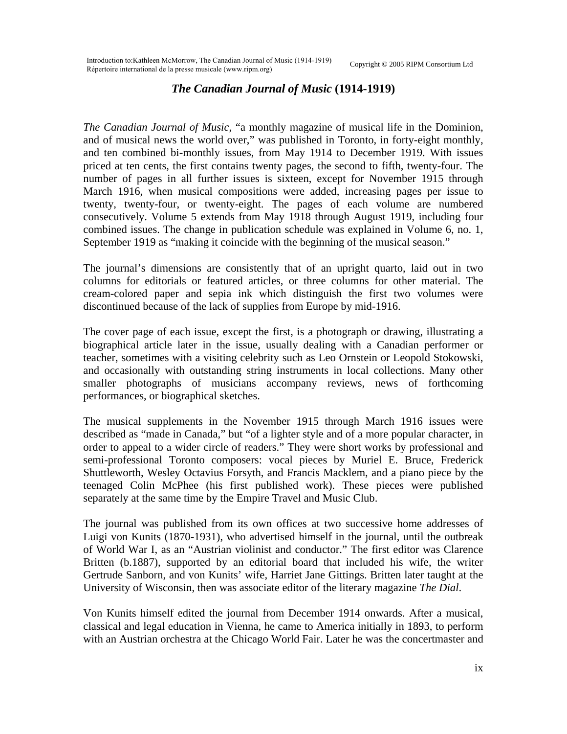## *The Canadian Journal of Music* **(1914-1919)**

*The Canadian Journal of Music*, "a monthly magazine of musical life in the Dominion, and of musical news the world over," was published in Toronto, in forty-eight monthly, and ten combined bi-monthly issues, from May 1914 to December 1919. With issues priced at ten cents, the first contains twenty pages, the second to fifth, twenty-four. The number of pages in all further issues is sixteen, except for November 1915 through March 1916, when musical compositions were added, increasing pages per issue to twenty, twenty-four, or twenty-eight. The pages of each volume are numbered consecutively. Volume 5 extends from May 1918 through August 1919, including four combined issues. The change in publication schedule was explained in Volume 6, no. 1, September 1919 as "making it coincide with the beginning of the musical season."

The journal's dimensions are consistently that of an upright quarto, laid out in two columns for editorials or featured articles, or three columns for other material. The cream-colored paper and sepia ink which distinguish the first two volumes were discontinued because of the lack of supplies from Europe by mid-1916.

The cover page of each issue, except the first, is a photograph or drawing, illustrating a biographical article later in the issue, usually dealing with a Canadian performer or teacher, sometimes with a visiting celebrity such as Leo Ornstein or Leopold Stokowski, and occasionally with outstanding string instruments in local collections. Many other smaller photographs of musicians accompany reviews, news of forthcoming performances, or biographical sketches.

The musical supplements in the November 1915 through March 1916 issues were described as "made in Canada," but "of a lighter style and of a more popular character, in order to appeal to a wider circle of readers." They were short works by professional and semi-professional Toronto composers: vocal pieces by Muriel E. Bruce, Frederick Shuttleworth, Wesley Octavius Forsyth, and Francis Macklem, and a piano piece by the teenaged Colin McPhee (his first published work). These pieces were published separately at the same time by the Empire Travel and Music Club.

The journal was published from its own offices at two successive home addresses of Luigi von Kunits (1870-1931), who advertised himself in the journal, until the outbreak of World War I, as an "Austrian violinist and conductor." The first editor was Clarence Britten (b.1887), supported by an editorial board that included his wife, the writer Gertrude Sanborn, and von Kunits' wife, Harriet Jane Gittings. Britten later taught at the University of Wisconsin, then was associate editor of the literary magazine *The Dial*.

Von Kunits himself edited the journal from December 1914 onwards. After a musical, classical and legal education in Vienna, he came to America initially in 1893, to perform with an Austrian orchestra at the Chicago World Fair. Later he was the concertmaster and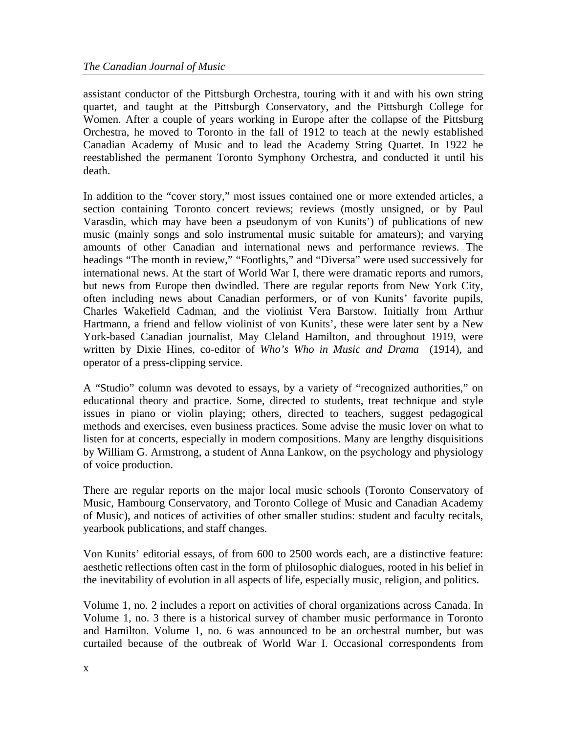assistant conductor of the Pittsburgh Orchestra, touring with it and with his own string quartet, and taught at the Pittsburgh Conservatory, and the Pittsburgh College for Women. After a couple of years working in Europe after the collapse of the Pittsburg Orchestra, he moved to Toronto in the fall of 1912 to teach at the newly established Canadian Academy of Music and to lead the Academy String Quartet. In 1922 he reestablished the permanent Toronto Symphony Orchestra, and conducted it until his death.

In addition to the "cover story," most issues contained one or more extended articles, a section containing Toronto concert reviews; reviews (mostly unsigned, or by Paul Varasdin, which may have been a pseudonym of von Kunits') of publications of new music (mainly songs and solo instrumental music suitable for amateurs); and varying amounts of other Canadian and international news and performance reviews. The headings "The month in review," "Footlights," and "Diversa" were used successively for international news. At the start of World War I, there were dramatic reports and rumors, but news from Europe then dwindled. There are regular reports from New York City, often including news about Canadian performers, or of von Kunits' favorite pupils, Charles Wakefield Cadman, and the violinist Vera Barstow. Initially from Arthur Hartmann, a friend and fellow violinist of von Kunits', these were later sent by a New York-based Canadian journalist, May Cleland Hamilton, and throughout 1919, were written by Dixie Hines, co-editor of *Who's Who in Music and Drama* (1914), and operator of a press-clipping service.

A "Studio" column was devoted to essays, by a variety of "recognized authorities," on educational theory and practice. Some, directed to students, treat technique and style issues in piano or violin playing; others, directed to teachers, suggest pedagogical methods and exercises, even business practices. Some advise the music lover on what to listen for at concerts, especially in modern compositions. Many are lengthy disquisitions by William G. Armstrong, a student of Anna Lankow, on the psychology and physiology of voice production.

There are regular reports on the major local music schools (Toronto Conservatory of Music, Hambourg Conservatory, and Toronto College of Music and Canadian Academy of Music), and notices of activities of other smaller studios: student and faculty recitals, yearbook publications, and staff changes.

Von Kunits' editorial essays, of from 600 to 2500 words each, are a distinctive feature: aesthetic reflections often cast in the form of philosophic dialogues, rooted in his belief in the inevitability of evolution in all aspects of life, especially music, religion, and politics.

Volume 1, no. 2 includes a report on activities of choral organizations across Canada. In Volume 1, no. 3 there is a historical survey of chamber music performance in Toronto and Hamilton. Volume 1, no. 6 was announced to be an orchestral number, but was curtailed because of the outbreak of World War I. Occasional correspondents from